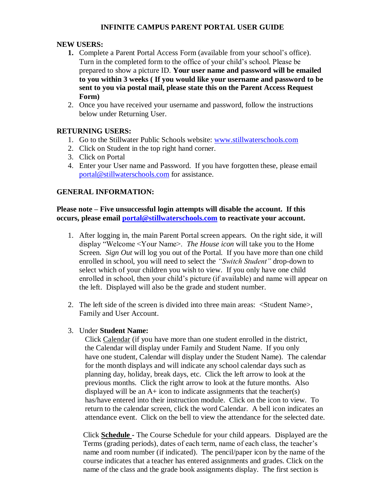# **INFINITE CAMPUS PARENT PORTAL USER GUIDE**

## **NEW USERS:**

- **1.** Complete a Parent Portal Access Form (available from your school's office). Turn in the completed form to the office of your child's school. Please be prepared to show a picture ID. **Your user name and password will be emailed to you within 3 weeks ( If you would like your username and password to be sent to you via postal mail, please state this on the Parent Access Request Form)**
- 2. Once you have received your username and password, follow the instructions below under Returning User.

## **RETURNING USERS:**

- 1. Go to the Stillwater Public Schools website: [www.stillwaterschools.com](http://www.stillwaterschools.com/)
- 2. Click on Student in the top right hand corner.
- 3. Click on Portal
- 4. Enter your User name and Password. If you have forgotten these, please email [portal@stillwaterschools.com](mailto:portal@stillwaterschools.com) for assistance.

## **GENERAL INFORMATION:**

**Please note – Five unsuccessful login attempts will disable the account. If this occurs, please email [portal@stillwaterschools.com](mailto:portal@stillwaterschools.com) to reactivate your account.**

- 1. After logging in, the main Parent Portal screen appears. On the right side, it will display "Welcome <Your Name>. *The House icon* will take you to the Home Screen. *Sign Out* will log you out of the Portal. If you have more than one child enrolled in school, you will need to select the *"Switch Student"* drop-down to select which of your children you wish to view. If you only have one child enrolled in school, then your child's picture (if available) and name will appear on the left. Displayed will also be the grade and student number.
- 2. The left side of the screen is divided into three main areas: <Student Name>, Family and User Account.
- 3. Under **Student Name:**

 Click Calendar (if you have more than one student enrolled in the district, the Calendar will display under Family and Student Name. If you only have one student, Calendar will display under the Student Name). The calendar for the month displays and will indicate any school calendar days such as planning day, holiday, break days, etc. Click the left arrow to look at the previous months. Click the right arrow to look at the future months. Also displayed will be an  $A+$  icon to indicate assignments that the teacher(s) has/have entered into their instruction module. Click on the icon to view. To return to the calendar screen, click the word Calendar. A bell icon indicates an attendance event. Click on the bell to view the attendance for the selected date.

 Click **Schedule -** The Course Schedule for your child appears. Displayed are the Terms (grading periods), dates of each term, name of each class, the teacher's name and room number (if indicated). The pencil/paper icon by the name of the course indicates that a teacher has entered assignments and grades. Click on the name of the class and the grade book assignments display. The first section is